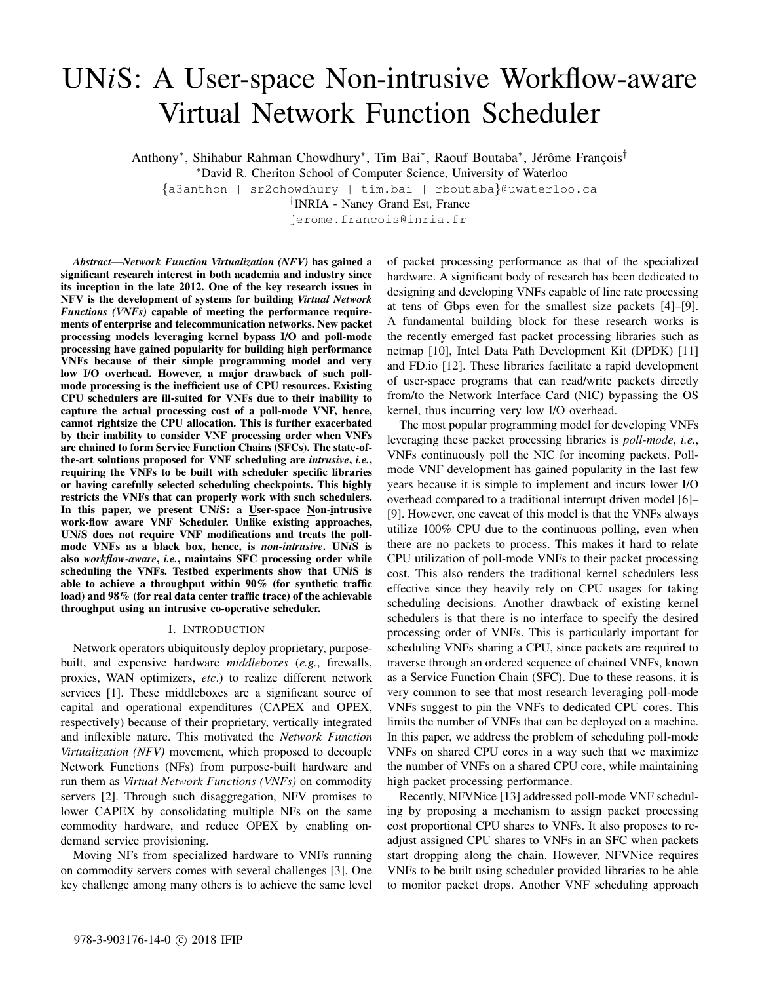# UN*i*S: A User-space Non-intrusive Workflow-aware Virtual Network Function Scheduler

Anthony<sup>∗</sup>, Shihabur Rahman Chowdhury<sup>∗</sup>, Tim Bai<sup>∗</sup>, Raouf Boutaba<sup>∗</sup>, Jérôme François<sup>†</sup>

<sup>∗</sup>David R. Cheriton School of Computer Science, University of Waterloo

{a3anthon | sr2chowdhury | tim.bai | rboutaba}@uwaterloo.ca

† INRIA - Nancy Grand Est, France

jerome.francois@inria.fr

*Abstract*—*Network Function Virtualization (NFV)* has gained a significant research interest in both academia and industry since its inception in the late 2012. One of the key research issues in NFV is the development of systems for building *Virtual Network Functions (VNFs)* capable of meeting the performance requirements of enterprise and telecommunication networks. New packet processing models leveraging kernel bypass I/O and poll-mode processing have gained popularity for building high performance VNFs because of their simple programming model and very low I/O overhead. However, a major drawback of such pollmode processing is the inefficient use of CPU resources. Existing CPU schedulers are ill-suited for VNFs due to their inability to capture the actual processing cost of a poll-mode VNF, hence, cannot rightsize the CPU allocation. This is further exacerbated by their inability to consider VNF processing order when VNFs are chained to form Service Function Chains (SFCs). The state-ofthe-art solutions proposed for VNF scheduling are *intrusive*, *i.e.*, requiring the VNFs to be built with scheduler specific libraries or having carefully selected scheduling checkpoints. This highly restricts the VNFs that can properly work with such schedulers. In this paper, we present UN*i*S: a User-space Non-intrusive work-flow aware VNF Scheduler. Unlike existing approaches, UN*i*S does not require VNF modifications and treats the pollmode VNFs as a black box, hence, is *non-intrusive*. UN*i*S is also *workflow-aware*, *i.e.*, maintains SFC processing order while scheduling the VNFs. Testbed experiments show that UN*i*S is able to achieve a throughput within 90% (for synthetic traffic load) and 98% (for real data center traffic trace) of the achievable throughput using an intrusive co-operative scheduler.

#### I. INTRODUCTION

Network operators ubiquitously deploy proprietary, purposebuilt, and expensive hardware *middleboxes* (*e.g.*, firewalls, proxies, WAN optimizers, *etc*.) to realize different network services [1]. These middleboxes are a significant source of capital and operational expenditures (CAPEX and OPEX, respectively) because of their proprietary, vertically integrated and inflexible nature. This motivated the *Network Function Virtualization (NFV)* movement, which proposed to decouple Network Functions (NFs) from purpose-built hardware and run them as *Virtual Network Functions (VNFs)* on commodity servers [2]. Through such disaggregation, NFV promises to lower CAPEX by consolidating multiple NFs on the same commodity hardware, and reduce OPEX by enabling ondemand service provisioning.

Moving NFs from specialized hardware to VNFs running on commodity servers comes with several challenges [3]. One key challenge among many others is to achieve the same level of packet processing performance as that of the specialized hardware. A significant body of research has been dedicated to designing and developing VNFs capable of line rate processing at tens of Gbps even for the smallest size packets [4]–[9]. A fundamental building block for these research works is the recently emerged fast packet processing libraries such as netmap [10], Intel Data Path Development Kit (DPDK) [11] and FD.io [12]. These libraries facilitate a rapid development of user-space programs that can read/write packets directly from/to the Network Interface Card (NIC) bypassing the OS kernel, thus incurring very low I/O overhead.

The most popular programming model for developing VNFs leveraging these packet processing libraries is *poll-mode*, *i.e.*, VNFs continuously poll the NIC for incoming packets. Pollmode VNF development has gained popularity in the last few years because it is simple to implement and incurs lower I/O overhead compared to a traditional interrupt driven model [6]– [9]. However, one caveat of this model is that the VNFs always utilize 100% CPU due to the continuous polling, even when there are no packets to process. This makes it hard to relate CPU utilization of poll-mode VNFs to their packet processing cost. This also renders the traditional kernel schedulers less effective since they heavily rely on CPU usages for taking scheduling decisions. Another drawback of existing kernel schedulers is that there is no interface to specify the desired processing order of VNFs. This is particularly important for scheduling VNFs sharing a CPU, since packets are required to traverse through an ordered sequence of chained VNFs, known as a Service Function Chain (SFC). Due to these reasons, it is very common to see that most research leveraging poll-mode VNFs suggest to pin the VNFs to dedicated CPU cores. This limits the number of VNFs that can be deployed on a machine. In this paper, we address the problem of scheduling poll-mode VNFs on shared CPU cores in a way such that we maximize the number of VNFs on a shared CPU core, while maintaining high packet processing performance.

Recently, NFVNice [13] addressed poll-mode VNF scheduling by proposing a mechanism to assign packet processing cost proportional CPU shares to VNFs. It also proposes to readjust assigned CPU shares to VNFs in an SFC when packets start dropping along the chain. However, NFVNice requires VNFs to be built using scheduler provided libraries to be able to monitor packet drops. Another VNF scheduling approach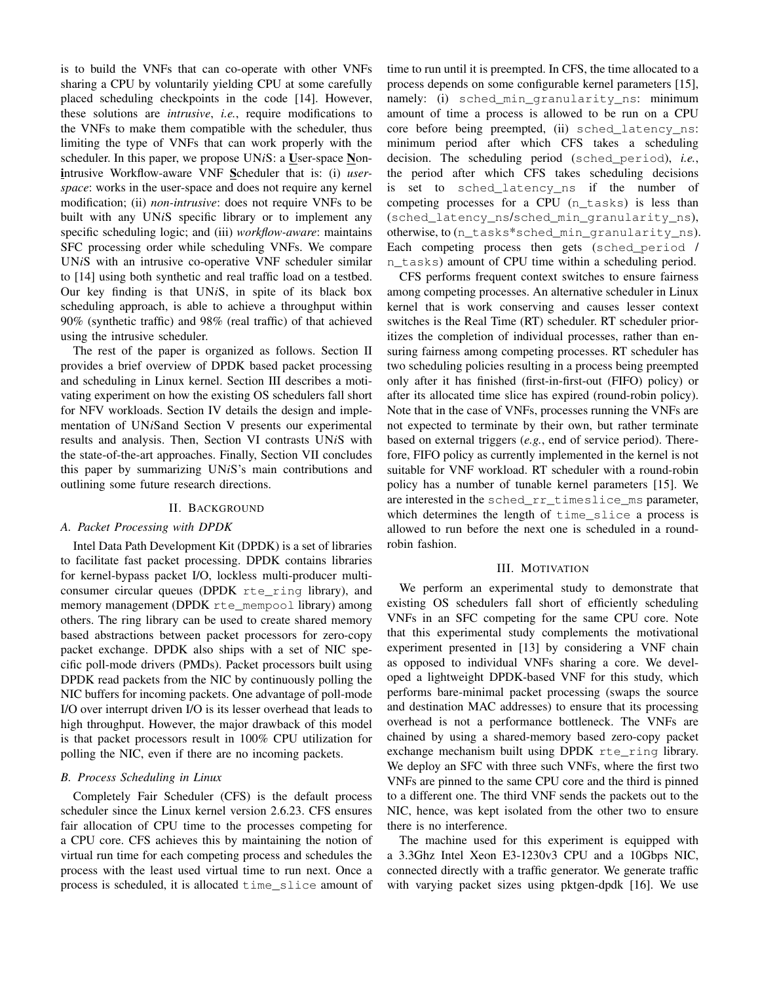is to build the VNFs that can co-operate with other VNFs sharing a CPU by voluntarily yielding CPU at some carefully placed scheduling checkpoints in the code [14]. However, these solutions are *intrusive*, *i.e.*, require modifications to the VNFs to make them compatible with the scheduler, thus limiting the type of VNFs that can work properly with the scheduler. In this paper, we propose UN*i*S: a User-space Nonintrusive Workflow-aware VNF Scheduler that is: (i) *userspace*: works in the user-space and does not require any kernel modification; (ii) *non-intrusive*: does not require VNFs to be built with any UN*i*S specific library or to implement any specific scheduling logic; and (iii) *workflow-aware*: maintains SFC processing order while scheduling VNFs. We compare UN*i*S with an intrusive co-operative VNF scheduler similar to [14] using both synthetic and real traffic load on a testbed. Our key finding is that UN*i*S, in spite of its black box scheduling approach, is able to achieve a throughput within 90% (synthetic traffic) and 98% (real traffic) of that achieved using the intrusive scheduler.

The rest of the paper is organized as follows. Section II provides a brief overview of DPDK based packet processing and scheduling in Linux kernel. Section III describes a motivating experiment on how the existing OS schedulers fall short for NFV workloads. Section IV details the design and implementation of UN*i*Sand Section V presents our experimental results and analysis. Then, Section VI contrasts UN*i*S with the state-of-the-art approaches. Finally, Section VII concludes this paper by summarizing UN*i*S's main contributions and outlining some future research directions.

#### II. BACKGROUND

# *A. Packet Processing with DPDK*

Intel Data Path Development Kit (DPDK) is a set of libraries to facilitate fast packet processing. DPDK contains libraries for kernel-bypass packet I/O, lockless multi-producer multiconsumer circular queues (DPDK rte\_ring library), and memory management (DPDK rte\_mempool library) among others. The ring library can be used to create shared memory based abstractions between packet processors for zero-copy packet exchange. DPDK also ships with a set of NIC specific poll-mode drivers (PMDs). Packet processors built using DPDK read packets from the NIC by continuously polling the NIC buffers for incoming packets. One advantage of poll-mode I/O over interrupt driven I/O is its lesser overhead that leads to high throughput. However, the major drawback of this model is that packet processors result in 100% CPU utilization for polling the NIC, even if there are no incoming packets.

#### *B. Process Scheduling in Linux*

Completely Fair Scheduler (CFS) is the default process scheduler since the Linux kernel version 2.6.23. CFS ensures fair allocation of CPU time to the processes competing for a CPU core. CFS achieves this by maintaining the notion of virtual run time for each competing process and schedules the process with the least used virtual time to run next. Once a process is scheduled, it is allocated time\_slice amount of

time to run until it is preempted. In CFS, the time allocated to a process depends on some configurable kernel parameters [15], namely: (i) sched\_min\_granularity\_ns: minimum amount of time a process is allowed to be run on a CPU core before being preempted, (ii) sched\_latency\_ns: minimum period after which CFS takes a scheduling decision. The scheduling period (sched\_period), *i.e.*, the period after which CFS takes scheduling decisions is set to sched\_latency\_ns if the number of competing processes for a CPU (n\_tasks) is less than (sched\_latency\_ns/sched\_min\_granularity\_ns), otherwise, to (n\_tasks\*sched\_min\_granularity\_ns). Each competing process then gets (sched\_period / n\_tasks) amount of CPU time within a scheduling period.

CFS performs frequent context switches to ensure fairness among competing processes. An alternative scheduler in Linux kernel that is work conserving and causes lesser context switches is the Real Time (RT) scheduler. RT scheduler prioritizes the completion of individual processes, rather than ensuring fairness among competing processes. RT scheduler has two scheduling policies resulting in a process being preempted only after it has finished (first-in-first-out (FIFO) policy) or after its allocated time slice has expired (round-robin policy). Note that in the case of VNFs, processes running the VNFs are not expected to terminate by their own, but rather terminate based on external triggers (*e.g.*, end of service period). Therefore, FIFO policy as currently implemented in the kernel is not suitable for VNF workload. RT scheduler with a round-robin policy has a number of tunable kernel parameters [15]. We are interested in the sched rr\_timeslice\_ms parameter, which determines the length of time slice a process is allowed to run before the next one is scheduled in a roundrobin fashion.

### III. MOTIVATION

We perform an experimental study to demonstrate that existing OS schedulers fall short of efficiently scheduling VNFs in an SFC competing for the same CPU core. Note that this experimental study complements the motivational experiment presented in [13] by considering a VNF chain as opposed to individual VNFs sharing a core. We developed a lightweight DPDK-based VNF for this study, which performs bare-minimal packet processing (swaps the source and destination MAC addresses) to ensure that its processing overhead is not a performance bottleneck. The VNFs are chained by using a shared-memory based zero-copy packet exchange mechanism built using DPDK rte\_ring library. We deploy an SFC with three such VNFs, where the first two VNFs are pinned to the same CPU core and the third is pinned to a different one. The third VNF sends the packets out to the NIC, hence, was kept isolated from the other two to ensure there is no interference.

The machine used for this experiment is equipped with a 3.3Ghz Intel Xeon E3-1230v3 CPU and a 10Gbps NIC, connected directly with a traffic generator. We generate traffic with varying packet sizes using pktgen-dpdk [16]. We use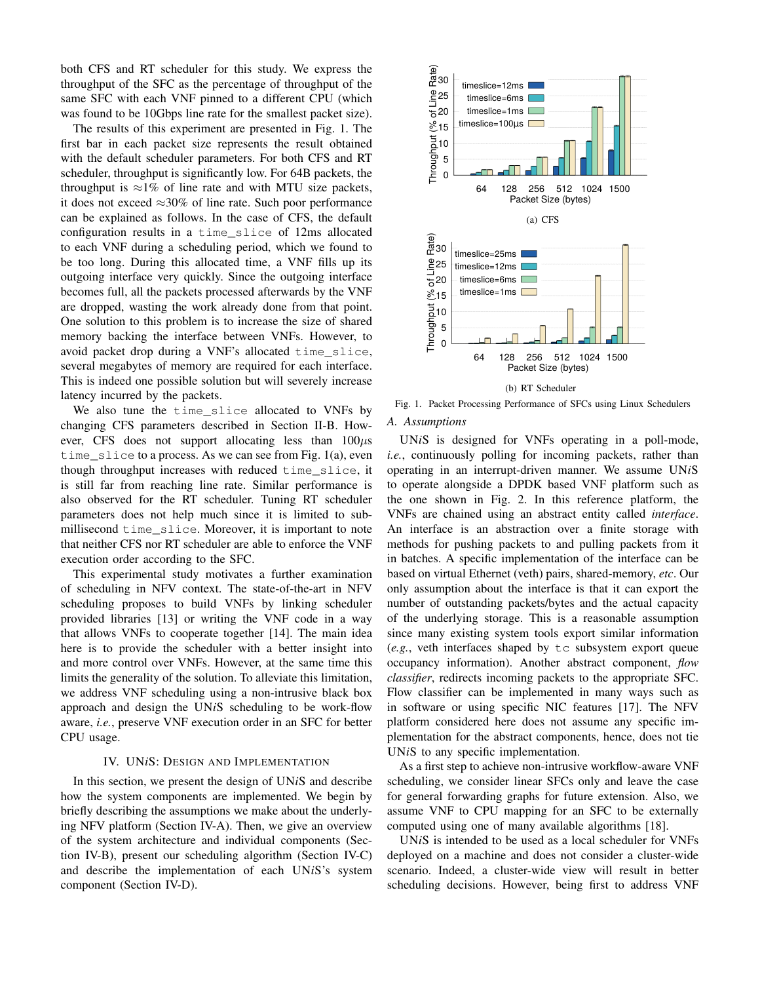both CFS and RT scheduler for this study. We express the throughput of the SFC as the percentage of throughput of the same SFC with each VNF pinned to a different CPU (which was found to be 10Gbps line rate for the smallest packet size).

The results of this experiment are presented in Fig. 1. The first bar in each packet size represents the result obtained with the default scheduler parameters. For both CFS and RT scheduler, throughput is significantly low. For 64B packets, the throughput is  $\approx 1\%$  of line rate and with MTU size packets, it does not exceed  $\approx 30\%$  of line rate. Such poor performance can be explained as follows. In the case of CFS, the default configuration results in a time\_slice of 12ms allocated to each VNF during a scheduling period, which we found to be too long. During this allocated time, a VNF fills up its outgoing interface very quickly. Since the outgoing interface becomes full, all the packets processed afterwards by the VNF are dropped, wasting the work already done from that point. One solution to this problem is to increase the size of shared memory backing the interface between VNFs. However, to avoid packet drop during a VNF's allocated time\_slice, several megabytes of memory are required for each interface. This is indeed one possible solution but will severely increase latency incurred by the packets.

We also tune the time\_slice allocated to VNFs by changing CFS parameters described in Section II-B. However, CFS does not support allocating less than  $100\mu s$ time slice to a process. As we can see from Fig.  $1(a)$ , even though throughput increases with reduced time\_slice, it is still far from reaching line rate. Similar performance is also observed for the RT scheduler. Tuning RT scheduler parameters does not help much since it is limited to submillisecond time\_slice. Moreover, it is important to note that neither CFS nor RT scheduler are able to enforce the VNF execution order according to the SFC.

This experimental study motivates a further examination of scheduling in NFV context. The state-of-the-art in NFV scheduling proposes to build VNFs by linking scheduler provided libraries [13] or writing the VNF code in a way that allows VNFs to cooperate together [14]. The main idea here is to provide the scheduler with a better insight into and more control over VNFs. However, at the same time this limits the generality of the solution. To alleviate this limitation, we address VNF scheduling using a non-intrusive black box approach and design the UN*i*S scheduling to be work-flow aware, *i.e.*, preserve VNF execution order in an SFC for better CPU usage.

#### IV. UN*i*S: DESIGN AND IMPLEMENTATION

In this section, we present the design of UN*i*S and describe how the system components are implemented. We begin by briefly describing the assumptions we make about the underlying NFV platform (Section IV-A). Then, we give an overview of the system architecture and individual components (Section IV-B), present our scheduling algorithm (Section IV-C) and describe the implementation of each UN*i*S's system component (Section IV-D).



Fig. 1. Packet Processing Performance of SFCs using Linux Schedulers

# *A. Assumptions*

UN*i*S is designed for VNFs operating in a poll-mode, *i.e.*, continuously polling for incoming packets, rather than operating in an interrupt-driven manner. We assume UN*i*S to operate alongside a DPDK based VNF platform such as the one shown in Fig. 2. In this reference platform, the VNFs are chained using an abstract entity called *interface*. An interface is an abstraction over a finite storage with methods for pushing packets to and pulling packets from it in batches. A specific implementation of the interface can be based on virtual Ethernet (veth) pairs, shared-memory, *etc*. Our only assumption about the interface is that it can export the number of outstanding packets/bytes and the actual capacity of the underlying storage. This is a reasonable assumption since many existing system tools export similar information  $(e.g.,$  veth interfaces shaped by  $\pm c$  subsystem export queue occupancy information). Another abstract component, *flow classifier*, redirects incoming packets to the appropriate SFC. Flow classifier can be implemented in many ways such as in software or using specific NIC features [17]. The NFV platform considered here does not assume any specific implementation for the abstract components, hence, does not tie UN*i*S to any specific implementation.

As a first step to achieve non-intrusive workflow-aware VNF scheduling, we consider linear SFCs only and leave the case for general forwarding graphs for future extension. Also, we assume VNF to CPU mapping for an SFC to be externally computed using one of many available algorithms [18].

UN*i*S is intended to be used as a local scheduler for VNFs deployed on a machine and does not consider a cluster-wide scenario. Indeed, a cluster-wide view will result in better scheduling decisions. However, being first to address VNF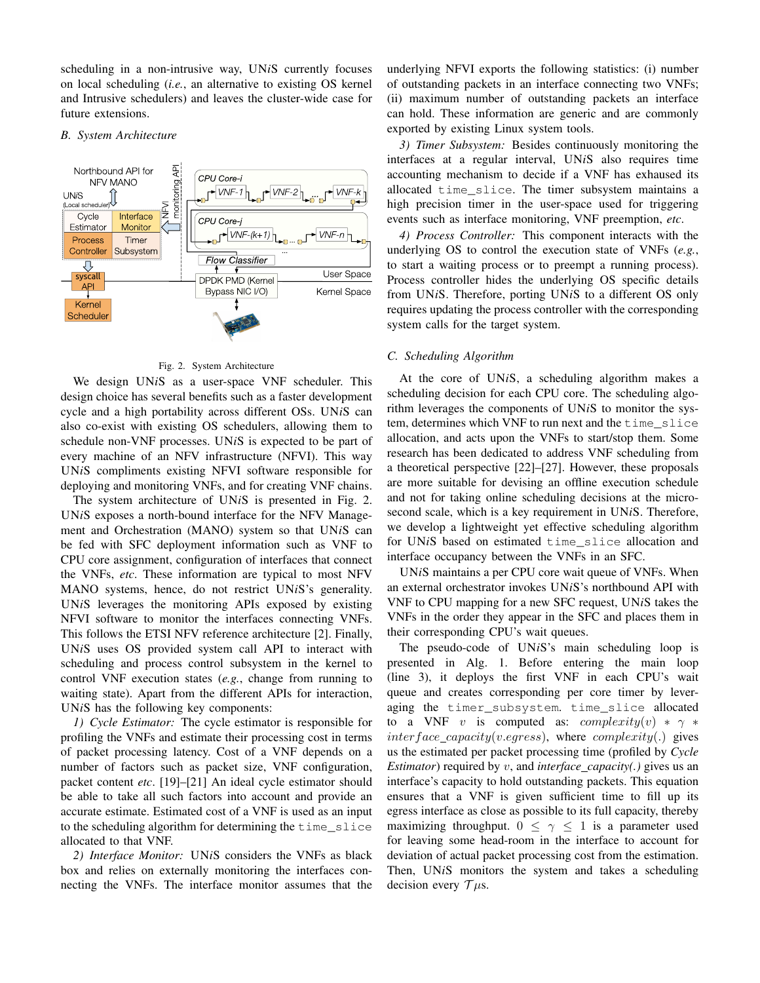scheduling in a non-intrusive way, UN*i*S currently focuses on local scheduling (*i.e.*, an alternative to existing OS kernel and Intrusive schedulers) and leaves the cluster-wide case for future extensions.

#### *B. System Architecture*



#### Fig. 2. System Architecture

We design UN*i*S as a user-space VNF scheduler. This design choice has several benefits such as a faster development cycle and a high portability across different OSs. UN*i*S can also co-exist with existing OS schedulers, allowing them to schedule non-VNF processes. UN*i*S is expected to be part of every machine of an NFV infrastructure (NFVI). This way UN*i*S compliments existing NFVI software responsible for deploying and monitoring VNFs, and for creating VNF chains.

The system architecture of UN*i*S is presented in Fig. 2. UN*i*S exposes a north-bound interface for the NFV Management and Orchestration (MANO) system so that UN*i*S can be fed with SFC deployment information such as VNF to CPU core assignment, configuration of interfaces that connect the VNFs, *etc*. These information are typical to most NFV MANO systems, hence, do not restrict UN*i*S's generality. UN*i*S leverages the monitoring APIs exposed by existing NFVI software to monitor the interfaces connecting VNFs. This follows the ETSI NFV reference architecture [2]. Finally, UN*i*S uses OS provided system call API to interact with scheduling and process control subsystem in the kernel to control VNF execution states (*e.g.*, change from running to waiting state). Apart from the different APIs for interaction, UN*i*S has the following key components:

*1) Cycle Estimator:* The cycle estimator is responsible for profiling the VNFs and estimate their processing cost in terms of packet processing latency. Cost of a VNF depends on a number of factors such as packet size, VNF configuration, packet content *etc*. [19]–[21] An ideal cycle estimator should be able to take all such factors into account and provide an accurate estimate. Estimated cost of a VNF is used as an input to the scheduling algorithm for determining the time\_slice allocated to that VNF.

*2) Interface Monitor:* UN*i*S considers the VNFs as black box and relies on externally monitoring the interfaces connecting the VNFs. The interface monitor assumes that the underlying NFVI exports the following statistics: (i) number of outstanding packets in an interface connecting two VNFs; (ii) maximum number of outstanding packets an interface can hold. These information are generic and are commonly exported by existing Linux system tools.

*3) Timer Subsystem:* Besides continuously monitoring the interfaces at a regular interval, UN*i*S also requires time accounting mechanism to decide if a VNF has exhaused its allocated time\_slice. The timer subsystem maintains a high precision timer in the user-space used for triggering events such as interface monitoring, VNF preemption, *etc*.

*4) Process Controller:* This component interacts with the underlying OS to control the execution state of VNFs (*e.g.*, to start a waiting process or to preempt a running process). Process controller hides the underlying OS specific details from UN*i*S. Therefore, porting UN*i*S to a different OS only requires updating the process controller with the corresponding system calls for the target system.

#### *C. Scheduling Algorithm*

At the core of UN*i*S, a scheduling algorithm makes a scheduling decision for each CPU core. The scheduling algorithm leverages the components of UN*i*S to monitor the system, determines which VNF to run next and the time\_slice allocation, and acts upon the VNFs to start/stop them. Some research has been dedicated to address VNF scheduling from a theoretical perspective [22]–[27]. However, these proposals are more suitable for devising an offline execution schedule and not for taking online scheduling decisions at the microsecond scale, which is a key requirement in UN*i*S. Therefore, we develop a lightweight yet effective scheduling algorithm for UN*i*S based on estimated time\_slice allocation and interface occupancy between the VNFs in an SFC.

UN*i*S maintains a per CPU core wait queue of VNFs. When an external orchestrator invokes UN*i*S's northbound API with VNF to CPU mapping for a new SFC request, UN*i*S takes the VNFs in the order they appear in the SFC and places them in their corresponding CPU's wait queues.

The pseudo-code of UN*i*S's main scheduling loop is presented in Alg. 1. Before entering the main loop (line 3), it deploys the first VNF in each CPU's wait queue and creates corresponding per core timer by leveraging the timer subsystem. time slice allocated to a VNF v is computed as:  $complexity(v) * \gamma *$ inter face capacity(v.eqress), where complexity(.) gives us the estimated per packet processing time (profiled by *Cycle Estimator*) required by v, and *interface capacity(.)* gives us an interface's capacity to hold outstanding packets. This equation ensures that a VNF is given sufficient time to fill up its egress interface as close as possible to its full capacity, thereby maximizing throughput.  $0 \leq \gamma \leq 1$  is a parameter used for leaving some head-room in the interface to account for deviation of actual packet processing cost from the estimation. Then, UN*i*S monitors the system and takes a scheduling decision every  $\mathcal{T}$ *us*.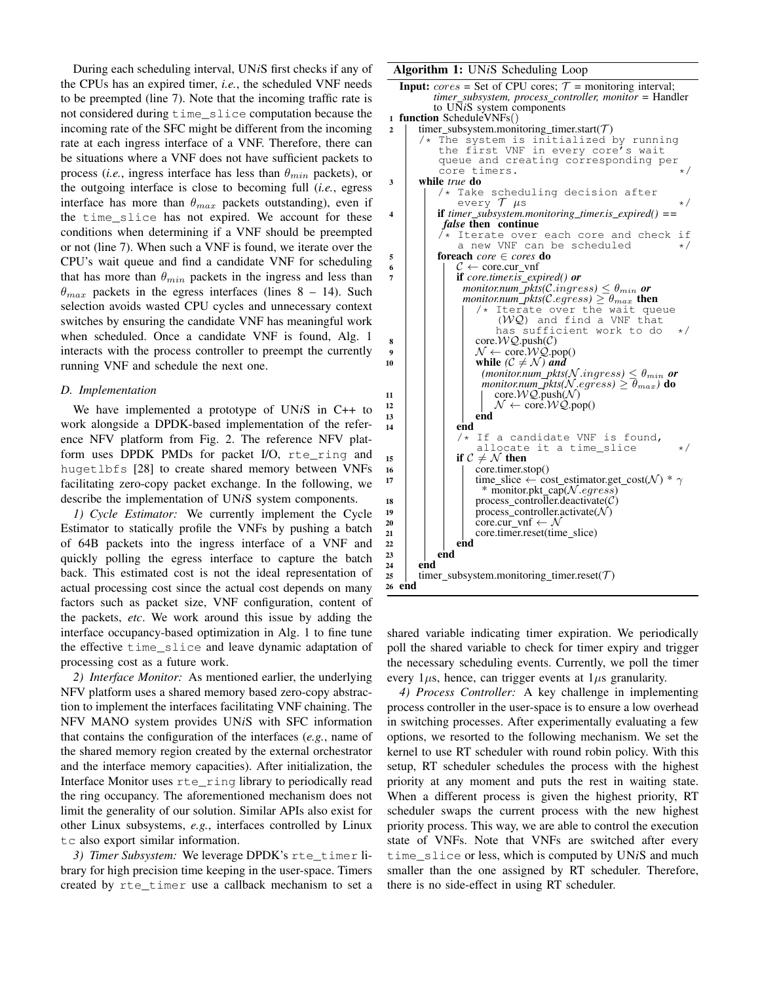During each scheduling interval, UN*i*S first checks if any of the CPUs has an expired timer, *i.e.*, the scheduled VNF needs to be preempted (line 7). Note that the incoming traffic rate is not considered during time\_slice computation because the incoming rate of the SFC might be different from the incoming rate at each ingress interface of a VNF. Therefore, there can be situations where a VNF does not have sufficient packets to process (*i.e.*, ingress interface has less than  $\theta_{min}$  packets), or the outgoing interface is close to becoming full (*i.e.*, egress interface has more than  $\theta_{max}$  packets outstanding), even if the time\_slice has not expired. We account for these conditions when determining if a VNF should be preempted or not (line 7). When such a VNF is found, we iterate over the CPU's wait queue and find a candidate VNF for scheduling that has more than  $\theta_{min}$  packets in the ingress and less than  $\theta_{max}$  packets in the egress interfaces (lines 8 – 14). Such selection avoids wasted CPU cycles and unnecessary context switches by ensuring the candidate VNF has meaningful work when scheduled. Once a candidate VNF is found, Alg. 1 interacts with the process controller to preempt the currently running VNF and schedule the next one.

# *D. Implementation*

We have implemented a prototype of UN*i*S in C++ to work alongside a DPDK-based implementation of the reference NFV platform from Fig. 2. The reference NFV platform uses DPDK PMDs for packet I/O, rte\_ring and hugetlbfs [28] to create shared memory between VNFs facilitating zero-copy packet exchange. In the following, we describe the implementation of UN*i*S system components.

*1) Cycle Estimator:* We currently implement the Cycle Estimator to statically profile the VNFs by pushing a batch of 64B packets into the ingress interface of a VNF and quickly polling the egress interface to capture the batch back. This estimated cost is not the ideal representation of actual processing cost since the actual cost depends on many factors such as packet size, VNF configuration, content of the packets, *etc*. We work around this issue by adding the interface occupancy-based optimization in Alg. 1 to fine tune the effective time\_slice and leave dynamic adaptation of processing cost as a future work.

*2) Interface Monitor:* As mentioned earlier, the underlying NFV platform uses a shared memory based zero-copy abstraction to implement the interfaces facilitating VNF chaining. The NFV MANO system provides UN*i*S with SFC information that contains the configuration of the interfaces (*e.g.*, name of the shared memory region created by the external orchestrator and the interface memory capacities). After initialization, the Interface Monitor uses rte\_ring library to periodically read the ring occupancy. The aforementioned mechanism does not limit the generality of our solution. Similar APIs also exist for other Linux subsystems, *e.g.*, interfaces controlled by Linux tc also export similar information.

3) Timer Subsystem: We leverage DPDK's rte\_timer library for high precision time keeping in the user-space. Timers created by rte\_timer use a callback mechanism to set a

#### Algorithm 1: UN*i*S Scheduling Loop

```
Input: cores = Set of CPU cores; \mathcal{T} = monitoring interval;timer subsystem, process controller, monitor = Handler
           to UNiS system components
1 function ScheduleVNFs()
2 | timer_subsystem.monitoring_timer.start(\mathcal{T})/* The system is initialized by running
the first VNF in every core's wait
            queue and creating corresponding per
            core timers.
3 while true do
                Take scheduling decision after
                every \mathcal T \mus */
4 if timer subsystem.monitoring timer.is expired() ==
             false then continue
                Iterate over each core and check if<br>a new VNF can be scheduled \star/a new VNF can be scheduled
5 foreach core ∈ cores do
6 \vert \vert \vert \in \mathcal{C} \leftarrow core.cur_vnf
                7 if core.timer.is expired() or
                  \textit{monitor}num_pkts(\textit{C}.\textit{ingress}) \leq \theta_{\textit{min}} or
                  monitor.num_pkts(C.egress) \geq \theta_{max} then
                         Iterate over the wait queue
                          (WQ) and find a VNF that
                         has sufficient work to do */
\mathbf{8} | | | core. \mathcal{WQ}. push(C)
9 | | | \mathcal{N} \leftarrow \text{core.} WQ.\text{pop}()10 | | | while (C \neq \mathcal{N}) and
                      (montor.num\_pkts(\mathcal{N}.ingress) \leq \theta_{min} or
                      \epsilonmonitor.num_pkts(\mathcal{N}.eg\epsiloness) \geq \overline{\theta}_{max}) do
11 | | | core.WQ.push(N)
12 | | | | \mathcal{N} \leftarrow \text{core.} WQ.\text{pop}()13 | | | | end
14 | | | end
                /* If a candidate VNF is found,
                     allocate it a time_slice */
15 if C \neq \mathcal{N} then
16 | | | core.timer.stop()
17 | | time_slice ← cost_estimator.get_cost(\mathcal{N}) * \gamma* monitor.pkt_cap(N.egress)
18 | | process_controller.deactivate(C)
19 | | process_controller.activate(\mathcal{N})20 core.cur_vnf \leftarrow \mathcal{N}\begin{array}{c|c} \n\text{21} \\
\text{22} \\
\text{23}\n\end{array} \begin{array}{c} \n\text{core.timer.reset} \text{(time\_slice)} \\
\text{end}end
23 | | end
24 end
25 | timer subsystem.monitoring timer.reset(\mathcal{T})
26 end
```
shared variable indicating timer expiration. We periodically poll the shared variable to check for timer expiry and trigger the necessary scheduling events. Currently, we poll the timer every  $1\mu s$ , hence, can trigger events at  $1\mu s$  granularity.

*4) Process Controller:* A key challenge in implementing process controller in the user-space is to ensure a low overhead in switching processes. After experimentally evaluating a few options, we resorted to the following mechanism. We set the kernel to use RT scheduler with round robin policy. With this setup, RT scheduler schedules the process with the highest priority at any moment and puts the rest in waiting state. When a different process is given the highest priority, RT scheduler swaps the current process with the new highest priority process. This way, we are able to control the execution state of VNFs. Note that VNFs are switched after every time\_slice or less, which is computed by UN*i*S and much smaller than the one assigned by RT scheduler. Therefore, there is no side-effect in using RT scheduler.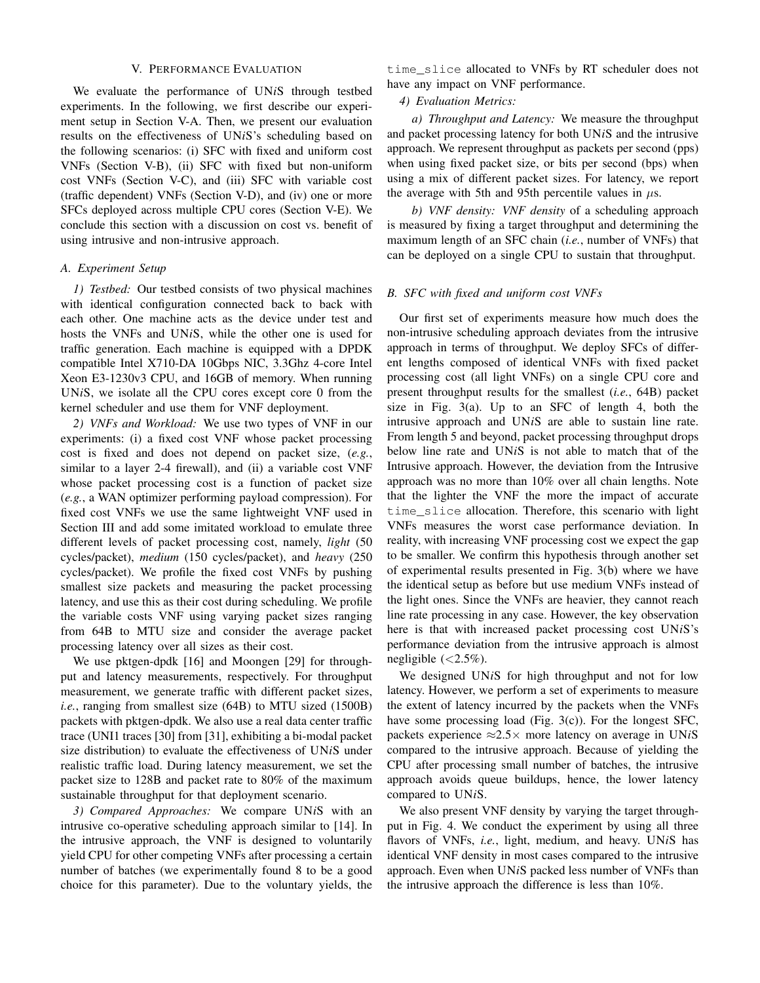#### V. PERFORMANCE EVALUATION

We evaluate the performance of UN*i*S through testbed experiments. In the following, we first describe our experiment setup in Section V-A. Then, we present our evaluation results on the effectiveness of UN*i*S's scheduling based on the following scenarios: (i) SFC with fixed and uniform cost VNFs (Section V-B), (ii) SFC with fixed but non-uniform cost VNFs (Section V-C), and (iii) SFC with variable cost (traffic dependent) VNFs (Section V-D), and (iv) one or more SFCs deployed across multiple CPU cores (Section V-E). We conclude this section with a discussion on cost vs. benefit of using intrusive and non-intrusive approach.

# *A. Experiment Setup*

*1) Testbed:* Our testbed consists of two physical machines with identical configuration connected back to back with each other. One machine acts as the device under test and hosts the VNFs and UN*i*S, while the other one is used for traffic generation. Each machine is equipped with a DPDK compatible Intel X710-DA 10Gbps NIC, 3.3Ghz 4-core Intel Xeon E3-1230v3 CPU, and 16GB of memory. When running UN*i*S, we isolate all the CPU cores except core 0 from the kernel scheduler and use them for VNF deployment.

*2) VNFs and Workload:* We use two types of VNF in our experiments: (i) a fixed cost VNF whose packet processing cost is fixed and does not depend on packet size, (*e.g.*, similar to a layer 2-4 firewall), and (ii) a variable cost VNF whose packet processing cost is a function of packet size (*e.g.*, a WAN optimizer performing payload compression). For fixed cost VNFs we use the same lightweight VNF used in Section III and add some imitated workload to emulate three different levels of packet processing cost, namely, *light* (50 cycles/packet), *medium* (150 cycles/packet), and *heavy* (250 cycles/packet). We profile the fixed cost VNFs by pushing smallest size packets and measuring the packet processing latency, and use this as their cost during scheduling. We profile the variable costs VNF using varying packet sizes ranging from 64B to MTU size and consider the average packet processing latency over all sizes as their cost.

We use pktgen-dpdk [16] and Moongen [29] for throughput and latency measurements, respectively. For throughput measurement, we generate traffic with different packet sizes, *i.e.*, ranging from smallest size (64B) to MTU sized (1500B) packets with pktgen-dpdk. We also use a real data center traffic trace (UNI1 traces [30] from [31], exhibiting a bi-modal packet size distribution) to evaluate the effectiveness of UN*i*S under realistic traffic load. During latency measurement, we set the packet size to 128B and packet rate to 80% of the maximum sustainable throughput for that deployment scenario.

*3) Compared Approaches:* We compare UN*i*S with an intrusive co-operative scheduling approach similar to [14]. In the intrusive approach, the VNF is designed to voluntarily yield CPU for other competing VNFs after processing a certain number of batches (we experimentally found 8 to be a good choice for this parameter). Due to the voluntary yields, the

time\_slice allocated to VNFs by RT scheduler does not have any impact on VNF performance.

# *4) Evaluation Metrics:*

*a) Throughput and Latency:* We measure the throughput and packet processing latency for both UN*i*S and the intrusive approach. We represent throughput as packets per second (pps) when using fixed packet size, or bits per second (bps) when using a mix of different packet sizes. For latency, we report the average with 5th and 95th percentile values in  $\mu$ s.

*b) VNF density: VNF density* of a scheduling approach is measured by fixing a target throughput and determining the maximum length of an SFC chain (*i.e.*, number of VNFs) that can be deployed on a single CPU to sustain that throughput.

### *B. SFC with fixed and uniform cost VNFs*

Our first set of experiments measure how much does the non-intrusive scheduling approach deviates from the intrusive approach in terms of throughput. We deploy SFCs of different lengths composed of identical VNFs with fixed packet processing cost (all light VNFs) on a single CPU core and present throughput results for the smallest (*i.e.*, 64B) packet size in Fig. 3(a). Up to an SFC of length 4, both the intrusive approach and UN*i*S are able to sustain line rate. From length 5 and beyond, packet processing throughput drops below line rate and UN*i*S is not able to match that of the Intrusive approach. However, the deviation from the Intrusive approach was no more than 10% over all chain lengths. Note that the lighter the VNF the more the impact of accurate time\_slice allocation. Therefore, this scenario with light VNFs measures the worst case performance deviation. In reality, with increasing VNF processing cost we expect the gap to be smaller. We confirm this hypothesis through another set of experimental results presented in Fig. 3(b) where we have the identical setup as before but use medium VNFs instead of the light ones. Since the VNFs are heavier, they cannot reach line rate processing in any case. However, the key observation here is that with increased packet processing cost UN*i*S's performance deviation from the intrusive approach is almost negligible  $\left( < 2.5\% \right)$ .

We designed UN*i*S for high throughput and not for low latency. However, we perform a set of experiments to measure the extent of latency incurred by the packets when the VNFs have some processing load (Fig. 3(c)). For the longest SFC, packets experience ≈2.5× more latency on average in UN*i*S compared to the intrusive approach. Because of yielding the CPU after processing small number of batches, the intrusive approach avoids queue buildups, hence, the lower latency compared to UN*i*S.

We also present VNF density by varying the target throughput in Fig. 4. We conduct the experiment by using all three flavors of VNFs, *i.e.*, light, medium, and heavy. UN*i*S has identical VNF density in most cases compared to the intrusive approach. Even when UN*i*S packed less number of VNFs than the intrusive approach the difference is less than 10%.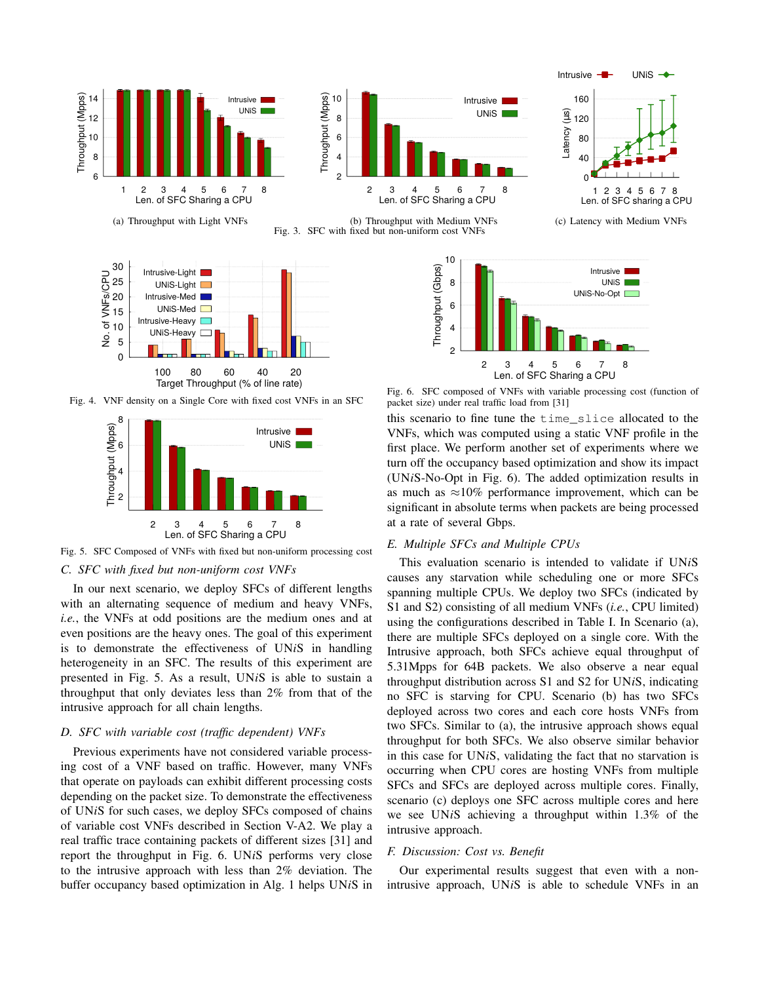

Fig. 3. SFC with fixed but non-uniform cost VNFs



Fig. 4. VNF density on a Single Core with fixed cost VNFs in an SFC



Fig. 5. SFC Composed of VNFs with fixed but non-uniform processing cost *C. SFC with fixed but non-uniform cost VNFs*

In our next scenario, we deploy SFCs of different lengths with an alternating sequence of medium and heavy VNFs, *i.e.*, the VNFs at odd positions are the medium ones and at even positions are the heavy ones. The goal of this experiment is to demonstrate the effectiveness of UN*i*S in handling heterogeneity in an SFC. The results of this experiment are presented in Fig. 5. As a result, UN*i*S is able to sustain a throughput that only deviates less than 2% from that of the intrusive approach for all chain lengths.

# *D. SFC with variable cost (traffic dependent) VNFs*

Previous experiments have not considered variable processing cost of a VNF based on traffic. However, many VNFs that operate on payloads can exhibit different processing costs depending on the packet size. To demonstrate the effectiveness of UN*i*S for such cases, we deploy SFCs composed of chains of variable cost VNFs described in Section V-A2. We play a real traffic trace containing packets of different sizes [31] and report the throughput in Fig. 6. UN*i*S performs very close to the intrusive approach with less than 2% deviation. The buffer occupancy based optimization in Alg. 1 helps UN*i*S in



Intrusive  $-\blacksquare$  UNiS  $\rightarrow$ 

Fig. 6. SFC composed of VNFs with variable processing cost (function of packet size) under real traffic load from [31]

this scenario to fine tune the time\_slice allocated to the VNFs, which was computed using a static VNF profile in the first place. We perform another set of experiments where we turn off the occupancy based optimization and show its impact (UN*i*S-No-Opt in Fig. 6). The added optimization results in as much as  $\approx$ 10% performance improvement, which can be significant in absolute terms when packets are being processed at a rate of several Gbps.

# *E. Multiple SFCs and Multiple CPUs*

This evaluation scenario is intended to validate if UN*i*S causes any starvation while scheduling one or more SFCs spanning multiple CPUs. We deploy two SFCs (indicated by S1 and S2) consisting of all medium VNFs (*i.e.*, CPU limited) using the configurations described in Table I. In Scenario (a), there are multiple SFCs deployed on a single core. With the Intrusive approach, both SFCs achieve equal throughput of 5.31Mpps for 64B packets. We also observe a near equal throughput distribution across S1 and S2 for UN*i*S, indicating no SFC is starving for CPU. Scenario (b) has two SFCs deployed across two cores and each core hosts VNFs from two SFCs. Similar to (a), the intrusive approach shows equal throughput for both SFCs. We also observe similar behavior in this case for UN*i*S, validating the fact that no starvation is occurring when CPU cores are hosting VNFs from multiple SFCs and SFCs are deployed across multiple cores. Finally, scenario (c) deploys one SFC across multiple cores and here we see UN*i*S achieving a throughput within 1.3% of the intrusive approach.

#### *F. Discussion: Cost vs. Benefit*

Our experimental results suggest that even with a nonintrusive approach, UN*i*S is able to schedule VNFs in an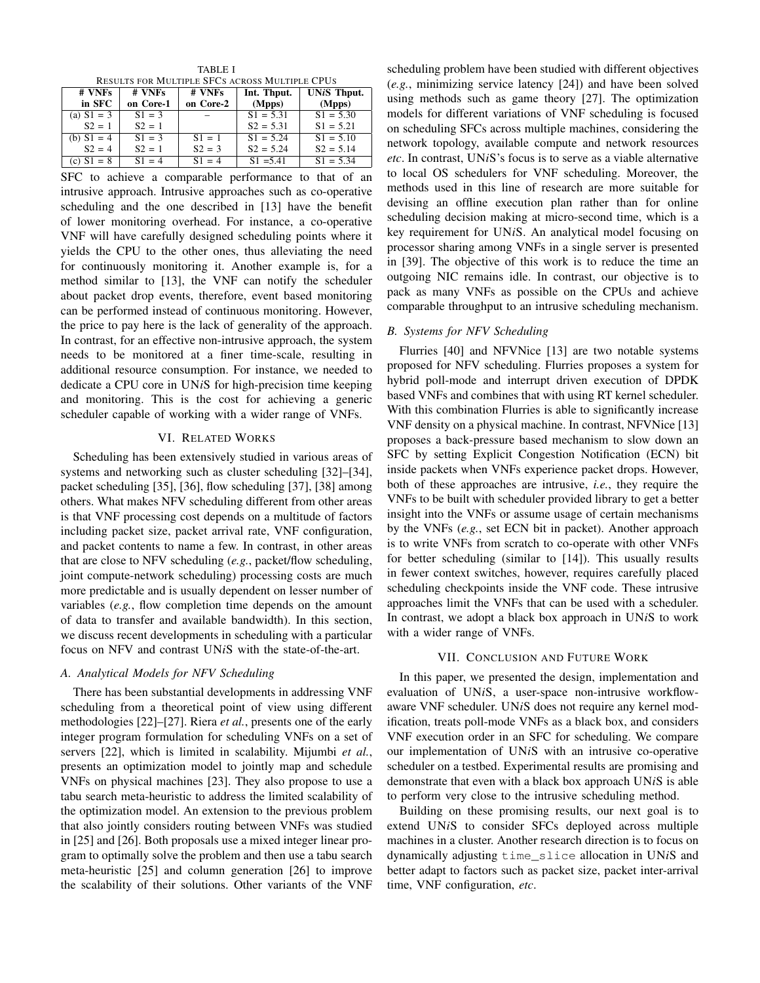TABLE I RESULTS FOR MULTIPLE SFCS ACROSS MULTIPLE CPUS

| # VNFs       | # VNFs    | # VNFs    | Int. Thput. | <b>UNiS Thput.</b>     |
|--------------|-----------|-----------|-------------|------------------------|
| in SFC       | on Core-1 | on Core-2 | (Mpps)      | (Mpps)                 |
| (a) $S1 = 3$ | $S1 = 3$  |           | $S1 = 5.31$ | $S_1 = 5.30$           |
| $S2 = 1$     | $S2 = 1$  |           | $S2 = 5.31$ | $S1 = 5.21$            |
| (b) $S1 = 4$ | $S1 = 3$  | $S_1 = 1$ | $S1 = 5.24$ | $\overline{S1} = 5.10$ |
| $S2 = 4$     | $S2 = 1$  | $S2 = 3$  | $S2 = 5.24$ | $S2 = 5.14$            |
| (c) $S1 = 8$ | $S_1 = 4$ | $S_1 = 4$ | $S1 = 5.41$ | $\overline{S1} = 5.34$ |

SFC to achieve a comparable performance to that of an intrusive approach. Intrusive approaches such as co-operative scheduling and the one described in [13] have the benefit of lower monitoring overhead. For instance, a co-operative VNF will have carefully designed scheduling points where it yields the CPU to the other ones, thus alleviating the need for continuously monitoring it. Another example is, for a method similar to [13], the VNF can notify the scheduler about packet drop events, therefore, event based monitoring can be performed instead of continuous monitoring. However, the price to pay here is the lack of generality of the approach. In contrast, for an effective non-intrusive approach, the system needs to be monitored at a finer time-scale, resulting in additional resource consumption. For instance, we needed to dedicate a CPU core in UN*i*S for high-precision time keeping and monitoring. This is the cost for achieving a generic scheduler capable of working with a wider range of VNFs.

### VI. RELATED WORKS

Scheduling has been extensively studied in various areas of systems and networking such as cluster scheduling [32]–[34], packet scheduling [35], [36], flow scheduling [37], [38] among others. What makes NFV scheduling different from other areas is that VNF processing cost depends on a multitude of factors including packet size, packet arrival rate, VNF configuration, and packet contents to name a few. In contrast, in other areas that are close to NFV scheduling (*e.g.*, packet/flow scheduling, joint compute-network scheduling) processing costs are much more predictable and is usually dependent on lesser number of variables (*e.g.*, flow completion time depends on the amount of data to transfer and available bandwidth). In this section, we discuss recent developments in scheduling with a particular focus on NFV and contrast UN*i*S with the state-of-the-art.

# *A. Analytical Models for NFV Scheduling*

There has been substantial developments in addressing VNF scheduling from a theoretical point of view using different methodologies [22]–[27]. Riera *et al.*, presents one of the early integer program formulation for scheduling VNFs on a set of servers [22], which is limited in scalability. Mijumbi *et al.*, presents an optimization model to jointly map and schedule VNFs on physical machines [23]. They also propose to use a tabu search meta-heuristic to address the limited scalability of the optimization model. An extension to the previous problem that also jointly considers routing between VNFs was studied in [25] and [26]. Both proposals use a mixed integer linear program to optimally solve the problem and then use a tabu search meta-heuristic [25] and column generation [26] to improve the scalability of their solutions. Other variants of the VNF scheduling problem have been studied with different objectives (*e.g.*, minimizing service latency [24]) and have been solved using methods such as game theory [27]. The optimization models for different variations of VNF scheduling is focused on scheduling SFCs across multiple machines, considering the network topology, available compute and network resources *etc*. In contrast, UN*i*S's focus is to serve as a viable alternative to local OS schedulers for VNF scheduling. Moreover, the methods used in this line of research are more suitable for devising an offline execution plan rather than for online scheduling decision making at micro-second time, which is a key requirement for UN*i*S. An analytical model focusing on processor sharing among VNFs in a single server is presented in [39]. The objective of this work is to reduce the time an outgoing NIC remains idle. In contrast, our objective is to pack as many VNFs as possible on the CPUs and achieve comparable throughput to an intrusive scheduling mechanism.

### *B. Systems for NFV Scheduling*

Flurries [40] and NFVNice [13] are two notable systems proposed for NFV scheduling. Flurries proposes a system for hybrid poll-mode and interrupt driven execution of DPDK based VNFs and combines that with using RT kernel scheduler. With this combination Flurries is able to significantly increase VNF density on a physical machine. In contrast, NFVNice [13] proposes a back-pressure based mechanism to slow down an SFC by setting Explicit Congestion Notification (ECN) bit inside packets when VNFs experience packet drops. However, both of these approaches are intrusive, *i.e.*, they require the VNFs to be built with scheduler provided library to get a better insight into the VNFs or assume usage of certain mechanisms by the VNFs (*e.g.*, set ECN bit in packet). Another approach is to write VNFs from scratch to co-operate with other VNFs for better scheduling (similar to [14]). This usually results in fewer context switches, however, requires carefully placed scheduling checkpoints inside the VNF code. These intrusive approaches limit the VNFs that can be used with a scheduler. In contrast, we adopt a black box approach in UN*i*S to work with a wider range of VNFs.

#### VII. CONCLUSION AND FUTURE WORK

In this paper, we presented the design, implementation and evaluation of UN*i*S, a user-space non-intrusive workflowaware VNF scheduler. UN*i*S does not require any kernel modification, treats poll-mode VNFs as a black box, and considers VNF execution order in an SFC for scheduling. We compare our implementation of UN*i*S with an intrusive co-operative scheduler on a testbed. Experimental results are promising and demonstrate that even with a black box approach UN*i*S is able to perform very close to the intrusive scheduling method.

Building on these promising results, our next goal is to extend UN*i*S to consider SFCs deployed across multiple machines in a cluster. Another research direction is to focus on dynamically adjusting time\_slice allocation in UN*i*S and better adapt to factors such as packet size, packet inter-arrival time, VNF configuration, *etc*.